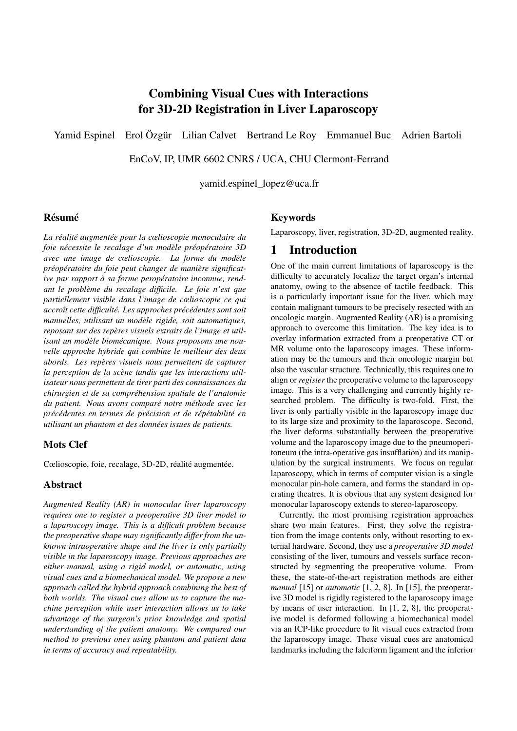# Combining Visual Cues with Interactions for 3D-2D Registration in Liver Laparoscopy

Yamid Espinel Erol Özgür Lilian Calvet Bertrand Le Roy Emmanuel Buc Adrien Bartoli

EnCoV, IP, UMR 6602 CNRS / UCA, CHU Clermont-Ferrand

yamid.espinel\_lopez@uca.fr

#### Résumé

*La réalité augmentée pour la cœlioscopie monoculaire du foie nécessite le recalage d'un modèle préopératoire 3D avec une image de cœlioscopie. La forme du modèle préopératoire du foie peut changer de manière significative par rapport à sa forme peropératoire inconnue, rendant le problème du recalage difficile. Le foie n'est que partiellement visible dans l'image de cœlioscopie ce qui accroît cette difficulté. Les approches précédentes sont soit manuelles, utilisant un modèle rigide, soit automatiques, reposant sur des repères visuels extraits de l'image et utilisant un modèle biomécanique. Nous proposons une nouvelle approche hybride qui combine le meilleur des deux abords. Les repères visuels nous permettent de capturer la perception de la scène tandis que les interactions utilisateur nous permettent de tirer parti des connaissances du chirurgien et de sa compréhension spatiale de l'anatomie du patient. Nous avons comparé notre méthode avec les précédentes en termes de précision et de répétabilité en utilisant un phantom et des données issues de patients.*

#### Mots Clef

Cœlioscopie, foie, recalage, 3D-2D, réalité augmentée.

#### Abstract

*Augmented Reality (AR) in monocular liver laparoscopy requires one to register a preoperative 3D liver model to a laparoscopy image. This is a difficult problem because the preoperative shape may significantly differ from the unknown intraoperative shape and the liver is only partially visible in the laparoscopy image. Previous approaches are either manual, using a rigid model, or automatic, using visual cues and a biomechanical model. We propose a new approach called the hybrid approach combining the best of both worlds. The visual cues allow us to capture the machine perception while user interaction allows us to take advantage of the surgeon's prior knowledge and spatial understanding of the patient anatomy. We compared our method to previous ones using phantom and patient data in terms of accuracy and repeatability.*

#### Keywords

Laparoscopy, liver, registration, 3D-2D, augmented reality.

### 1 Introduction

One of the main current limitations of laparoscopy is the difficulty to accurately localize the target organ's internal anatomy, owing to the absence of tactile feedback. This is a particularly important issue for the liver, which may contain malignant tumours to be precisely resected with an oncologic margin. Augmented Reality (AR) is a promising approach to overcome this limitation. The key idea is to overlay information extracted from a preoperative CT or MR volume onto the laparoscopy images. These information may be the tumours and their oncologic margin but also the vascular structure. Technically, this requires one to align or *register* the preoperative volume to the laparoscopy image. This is a very challenging and currently highly researched problem. The difficulty is two-fold. First, the liver is only partially visible in the laparoscopy image due to its large size and proximity to the laparoscope. Second, the liver deforms substantially between the preoperative volume and the laparoscopy image due to the pneumoperitoneum (the intra-operative gas insufflation) and its manipulation by the surgical instruments. We focus on regular laparoscopy, which in terms of computer vision is a single monocular pin-hole camera, and forms the standard in operating theatres. It is obvious that any system designed for monocular laparoscopy extends to stereo-laparoscopy.

Currently, the most promising registration approaches share two main features. First, they solve the registration from the image contents only, without resorting to external hardware. Second, they use a *preoperative 3D model* consisting of the liver, tumours and vessels surface reconstructed by segmenting the preoperative volume. From these, the state-of-the-art registration methods are either *manual* [15] or *automatic* [1, 2, 8]. In [15], the preoperative 3D model is rigidly registered to the laparoscopy image by means of user interaction. In [1, 2, 8], the preoperative model is deformed following a biomechanical model via an ICP-like procedure to fit visual cues extracted from the laparoscopy image. These visual cues are anatomical landmarks including the falciform ligament and the inferior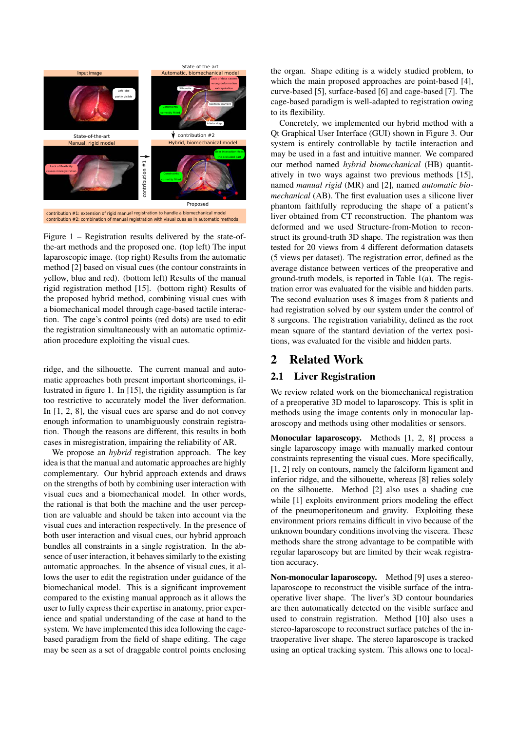

Figure 1 – Registration results delivered by the state-ofthe-art methods and the proposed one. (top left) The input laparoscopic image. (top right) Results from the automatic method [2] based on visual cues (the contour constraints in yellow, blue and red). (bottom left) Results of the manual rigid registration method [15]. (bottom right) Results of the proposed hybrid method, combining visual cues with a biomechanical model through cage-based tactile interaction. The cage's control points (red dots) are used to edit the registration simultaneously with an automatic optimization procedure exploiting the visual cues.

ridge, and the silhouette. The current manual and automatic approaches both present important shortcomings, illustrated in figure 1. In [15], the rigidity assumption is far too restrictive to accurately model the liver deformation. In [1, 2, 8], the visual cues are sparse and do not convey enough information to unambiguously constrain registration. Though the reasons are different, this results in both cases in misregistration, impairing the reliability of AR.

We propose an *hybrid* registration approach. The key idea is that the manual and automatic approaches are highly complementary. Our hybrid approach extends and draws on the strengths of both by combining user interaction with visual cues and a biomechanical model. In other words, the rational is that both the machine and the user perception are valuable and should be taken into account via the visual cues and interaction respectively. In the presence of both user interaction and visual cues, our hybrid approach bundles all constraints in a single registration. In the absence of user interaction, it behaves similarly to the existing automatic approaches. In the absence of visual cues, it allows the user to edit the registration under guidance of the biomechanical model. This is a significant improvement compared to the existing manual approach as it allows the user to fully express their expertise in anatomy, prior experience and spatial understanding of the case at hand to the system. We have implemented this idea following the cagebased paradigm from the field of shape editing. The cage may be seen as a set of draggable control points enclosing the organ. Shape editing is a widely studied problem, to which the main proposed approaches are point-based [4], curve-based [5], surface-based [6] and cage-based [7]. The cage-based paradigm is well-adapted to registration owing to its flexibility.

Concretely, we implemented our hybrid method with a Qt Graphical User Interface (GUI) shown in Figure 3. Our system is entirely controllable by tactile interaction and may be used in a fast and intuitive manner. We compared our method named *hybrid biomechanical* (HB) quantitatively in two ways against two previous methods [15], named *manual rigid* (MR) and [2], named *automatic biomechanical* (AB). The first evaluation uses a silicone liver phantom faithfully reproducing the shape of a patient's liver obtained from CT reconstruction. The phantom was deformed and we used Structure-from-Motion to reconstruct its ground-truth 3D shape. The registration was then tested for 20 views from 4 different deformation datasets (5 views per dataset). The registration error, defined as the average distance between vertices of the preoperative and ground-truth models, is reported in Table 1(a). The registration error was evaluated for the visible and hidden parts. The second evaluation uses 8 images from 8 patients and had registration solved by our system under the control of 8 surgeons. The registration variability, defined as the root mean square of the stantard deviation of the vertex positions, was evaluated for the visible and hidden parts.

# 2 Related Work

# 2.1 Liver Registration

We review related work on the biomechanical registration of a preoperative 3D model to laparoscopy. This is split in methods using the image contents only in monocular laparoscopy and methods using other modalities or sensors.

Monocular laparoscopy. Methods [1, 2, 8] process a single laparoscopy image with manually marked contour constraints representing the visual cues. More specifically, [1, 2] rely on contours, namely the falciform ligament and inferior ridge, and the silhouette, whereas [8] relies solely on the silhouette. Method [2] also uses a shading cue while [1] exploits environment priors modeling the effect of the pneumoperitoneum and gravity. Exploiting these environment priors remains difficult in vivo because of the unknown boundary conditions involving the viscera. These methods share the strong advantage to be compatible with regular laparoscopy but are limited by their weak registration accuracy.

Non-monocular laparoscopy. Method [9] uses a stereolaparoscope to reconstruct the visible surface of the intraoperative liver shape. The liver's 3D contour boundaries are then automatically detected on the visible surface and used to constrain registration. Method [10] also uses a stereo-laparoscope to reconstruct surface patches of the intraoperative liver shape. The stereo laparoscope is tracked using an optical tracking system. This allows one to local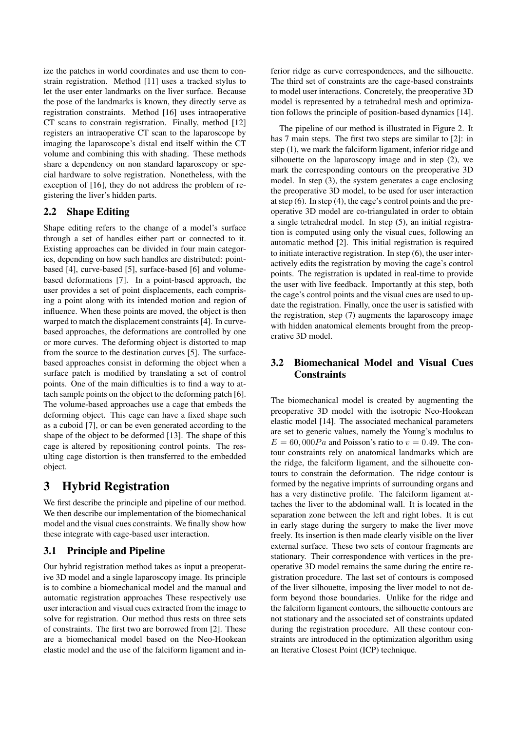ize the patches in world coordinates and use them to constrain registration. Method [11] uses a tracked stylus to let the user enter landmarks on the liver surface. Because the pose of the landmarks is known, they directly serve as registration constraints. Method [16] uses intraoperative CT scans to constrain registration. Finally, method [12] registers an intraoperative CT scan to the laparoscope by imaging the laparoscope's distal end itself within the CT volume and combining this with shading. These methods share a dependency on non standard laparoscopy or special hardware to solve registration. Nonetheless, with the exception of [16], they do not address the problem of registering the liver's hidden parts.

### 2.2 Shape Editing

Shape editing refers to the change of a model's surface through a set of handles either part or connected to it. Existing approaches can be divided in four main categories, depending on how such handles are distributed: pointbased [4], curve-based [5], surface-based [6] and volumebased deformations [7]. In a point-based approach, the user provides a set of point displacements, each comprising a point along with its intended motion and region of influence. When these points are moved, the object is then warped to match the displacement constraints [4]. In curvebased approaches, the deformations are controlled by one or more curves. The deforming object is distorted to map from the source to the destination curves [5]. The surfacebased approaches consist in deforming the object when a surface patch is modified by translating a set of control points. One of the main difficulties is to find a way to attach sample points on the object to the deforming patch [6]. The volume-based approaches use a cage that embeds the deforming object. This cage can have a fixed shape such as a cuboid [7], or can be even generated according to the shape of the object to be deformed [13]. The shape of this cage is altered by repositioning control points. The resulting cage distortion is then transferred to the embedded object.

# 3 Hybrid Registration

We first describe the principle and pipeline of our method. We then describe our implementation of the biomechanical model and the visual cues constraints. We finally show how these integrate with cage-based user interaction.

# 3.1 Principle and Pipeline

Our hybrid registration method takes as input a preoperative 3D model and a single laparoscopy image. Its principle is to combine a biomechanical model and the manual and automatic registration approaches These respectively use user interaction and visual cues extracted from the image to solve for registration. Our method thus rests on three sets of constraints. The first two are borrowed from [2]. These are a biomechanical model based on the Neo-Hookean elastic model and the use of the falciform ligament and inferior ridge as curve correspondences, and the silhouette. The third set of constraints are the cage-based constraints to model user interactions. Concretely, the preoperative 3D model is represented by a tetrahedral mesh and optimization follows the principle of position-based dynamics [14].

The pipeline of our method is illustrated in Figure 2. It has 7 main steps. The first two steps are similar to [2]: in step (1), we mark the falciform ligament, inferior ridge and silhouette on the laparoscopy image and in step (2), we mark the corresponding contours on the preoperative 3D model. In step (3), the system generates a cage enclosing the preoperative 3D model, to be used for user interaction at step (6). In step (4), the cage's control points and the preoperative 3D model are co-triangulated in order to obtain a single tetrahedral model. In step (5), an initial registration is computed using only the visual cues, following an automatic method [2]. This initial registration is required to initiate interactive registration. In step (6), the user interactively edits the registration by moving the cage's control points. The registration is updated in real-time to provide the user with live feedback. Importantly at this step, both the cage's control points and the visual cues are used to update the registration. Finally, once the user is satisfied with the registration, step (7) augments the laparoscopy image with hidden anatomical elements brought from the preoperative 3D model.

# 3.2 Biomechanical Model and Visual Cues **Constraints**

The biomechanical model is created by augmenting the preoperative 3D model with the isotropic Neo-Hookean elastic model [14]. The associated mechanical parameters are set to generic values, namely the Young's modulus to  $E = 60,000Pa$  and Poisson's ratio to  $v = 0.49$ . The contour constraints rely on anatomical landmarks which are the ridge, the falciform ligament, and the silhouette contours to constrain the deformation. The ridge contour is formed by the negative imprints of surrounding organs and has a very distinctive profile. The falciform ligament attaches the liver to the abdominal wall. It is located in the separation zone between the left and right lobes. It is cut in early stage during the surgery to make the liver move freely. Its insertion is then made clearly visible on the liver external surface. These two sets of contour fragments are stationary. Their correspondence with vertices in the preoperative 3D model remains the same during the entire registration procedure. The last set of contours is composed of the liver silhouette, imposing the liver model to not deform beyond those boundaries. Unlike for the ridge and the falciform ligament contours, the silhouette contours are not stationary and the associated set of constraints updated during the registration procedure. All these contour constraints are introduced in the optimization algorithm using an Iterative Closest Point (ICP) technique.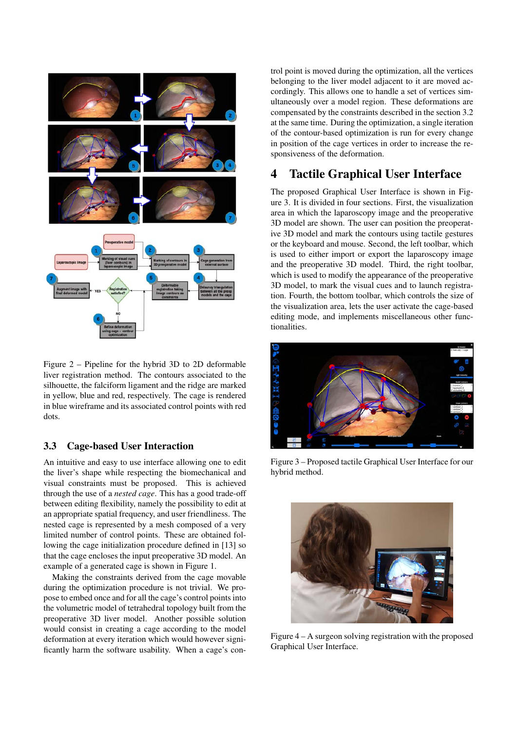

Figure 2 – Pipeline for the hybrid 3D to 2D deformable liver registration method. The contours associated to the silhouette, the falciform ligament and the ridge are marked in yellow, blue and red, respectively. The cage is rendered in blue wireframe and its associated control points with red dots.

### 3.3 Cage-based User Interaction

An intuitive and easy to use interface allowing one to edit the liver's shape while respecting the biomechanical and visual constraints must be proposed. This is achieved through the use of a *nested cage*. This has a good trade-off between editing flexibility, namely the possibility to edit at an appropriate spatial frequency, and user friendliness. The nested cage is represented by a mesh composed of a very limited number of control points. These are obtained following the cage initialization procedure defined in [13] so that the cage encloses the input preoperative 3D model. An example of a generated cage is shown in Figure 1.

Making the constraints derived from the cage movable during the optimization procedure is not trivial. We propose to embed once and for all the cage's control points into the volumetric model of tetrahedral topology built from the preoperative 3D liver model. Another possible solution would consist in creating a cage according to the model deformation at every iteration which would however significantly harm the software usability. When a cage's control point is moved during the optimization, all the vertices belonging to the liver model adjacent to it are moved accordingly. This allows one to handle a set of vertices simultaneously over a model region. These deformations are compensated by the constraints described in the section 3.2 at the same time. During the optimization, a single iteration of the contour-based optimization is run for every change in position of the cage vertices in order to increase the responsiveness of the deformation.

# 4 Tactile Graphical User Interface

The proposed Graphical User Interface is shown in Figure 3. It is divided in four sections. First, the visualization area in which the laparoscopy image and the preoperative 3D model are shown. The user can position the preoperative 3D model and mark the contours using tactile gestures or the keyboard and mouse. Second, the left toolbar, which is used to either import or export the laparoscopy image and the preoperative 3D model. Third, the right toolbar, which is used to modify the appearance of the preoperative 3D model, to mark the visual cues and to launch registration. Fourth, the bottom toolbar, which controls the size of the visualization area, lets the user activate the cage-based editing mode, and implements miscellaneous other functionalities.



Figure 3 – Proposed tactile Graphical User Interface for our hybrid method.



Figure 4 – A surgeon solving registration with the proposed Graphical User Interface.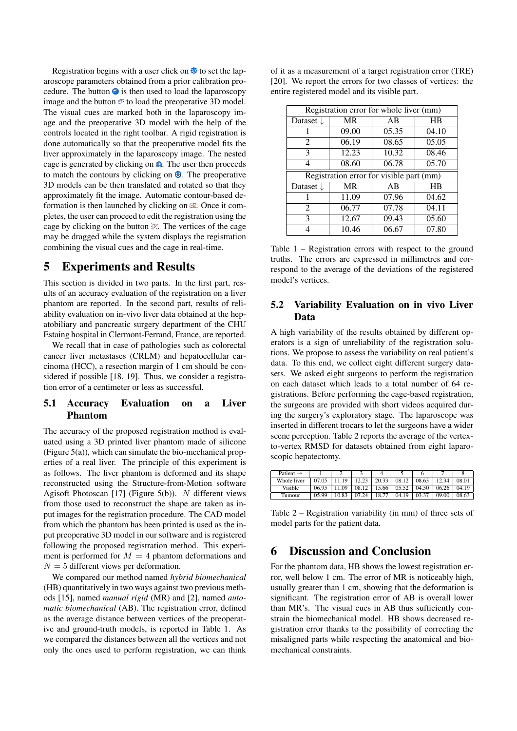Registration begins with a user click on  $\otimes$  to set the laparoscope parameters obtained from a prior calibration procedure. The button  $\bullet$  is then used to load the laparoscopy image and the button  $\mathcal{P}$  to load the preoperative 3D model. The visual cues are marked both in the laparoscopy image and the preoperative 3D model with the help of the controls located in the right toolbar. A rigid registration is done automatically so that the preoperative model fits the liver approximately in the laparoscopy image. The nested cage is generated by clicking on  $\hat{m}$ . The user then proceeds to match the contours by clicking on  $\Phi$ . The preoperative 3D models can be then translated and rotated so that they approximately fit the image. Automatic contour-based deformation is then launched by clicking on  $\mathbb{Z}$ . Once it completes, the user can proceed to edit the registration using the cage by clicking on the button  $\mathbb{R}$ . The vertices of the cage may be dragged while the system displays the registration combining the visual cues and the cage in real-time.

# 5 Experiments and Results

This section is divided in two parts. In the first part, results of an accuracy evaluation of the registration on a liver phantom are reported. In the second part, results of reliability evaluation on in-vivo liver data obtained at the hepatobiliary and pancreatic surgery department of the CHU Estaing hospital in Clermont-Ferrand, France, are reported.

We recall that in case of pathologies such as colorectal cancer liver metastases (CRLM) and hepatocellular carcinoma (HCC), a resection margin of 1 cm should be considered if possible [18, 19]. Thus, we consider a registration error of a centimeter or less as successful.

### 5.1 Accuracy Evaluation on a Liver Phantom

The accuracy of the proposed registration method is evaluated using a 3D printed liver phantom made of silicone (Figure 5(a)), which can simulate the bio-mechanical properties of a real liver. The principle of this experiment is as follows. The liver phantom is deformed and its shape reconstructed using the Structure-from-Motion software Agisoft Photoscan [17] (Figure 5(b)).  $N$  different views from those used to reconstruct the shape are taken as input images for the registration procedure. The CAD model from which the phantom has been printed is used as the input preoperative 3D model in our software and is registered following the proposed registration method. This experiment is performed for  $M = 4$  phantom deformations and  $N = 5$  different views per deformation.

We compared our method named *hybrid biomechanical* (HB) quantitatively in two ways against two previous methods [15], named *manual rigid* (MR) and [2], named *automatic biomechanical* (AB). The registration error, defined as the average distance between vertices of the preoperative and ground-truth models, is reported in Table 1. As we compared the distances between all the vertices and not only the ones used to perform registration, we can think of it as a measurement of a target registration error (TRE) [20]. We report the errors for two classes of vertices: the entire registered model and its visible part.

| Registration error for whole liver (mm) |           |                                          |       |  |  |  |  |  |
|-----------------------------------------|-----------|------------------------------------------|-------|--|--|--|--|--|
| Dataset $\downarrow$                    | <b>MR</b> | AB                                       | ΗB    |  |  |  |  |  |
|                                         | 09.00     | 05.35                                    | 04.10 |  |  |  |  |  |
| 2                                       | 06.19     | 08.65                                    | 05.05 |  |  |  |  |  |
| 3                                       | 12.23     | 10.32                                    | 08.46 |  |  |  |  |  |
| 4                                       | 08.60     | 06.78                                    | 05.70 |  |  |  |  |  |
|                                         |           |                                          |       |  |  |  |  |  |
|                                         |           | Registration error for visible part (mm) |       |  |  |  |  |  |
| Dataset $\downarrow$                    | <b>MR</b> | AB                                       | ΗB    |  |  |  |  |  |
|                                         | 11.09     | 07.96                                    | 04.62 |  |  |  |  |  |
| $\mathcal{D}_{\mathcal{L}}$             | 06.77     | 07.78                                    | 04.11 |  |  |  |  |  |
| 3                                       | 12.67     | 09.43                                    | 05.60 |  |  |  |  |  |

Table 1 – Registration errors with respect to the ground truths. The errors are expressed in millimetres and correspond to the average of the deviations of the registered model's vertices.

#### 5.2 Variability Evaluation on in vivo Liver Data

A high variability of the results obtained by different operators is a sign of unreliability of the registration solutions. We propose to assess the variability on real patient's data. To this end, we collect eight different surgery datasets. We asked eight surgeons to perform the registration on each dataset which leads to a total number of 64 registrations. Before performing the cage-based registration, the surgeons are provided with short videos acquired during the surgery's exploratory stage. The laparoscope was inserted in different trocars to let the surgeons have a wider scene perception. Table 2 reports the average of the vertexto-vertex RMSD for datasets obtained from eight laparoscopic hepatectomy.

| Patient $\rightarrow$ |       |       |       |       |       |       |       |       |
|-----------------------|-------|-------|-------|-------|-------|-------|-------|-------|
| Whole liver           | 07.05 | 10    |       | 20.33 | 08.12 | 08.63 | 12 34 | 08.01 |
| Visible               | 06.95 | റ     | 08.   | 15.66 | 05.52 | 04.50 | 06.26 | 04.19 |
| Tumour                | 05.99 | 10.83 | 07 24 | 18.77 | 04.19 | 03.37 | 09.00 | 08.63 |

Table 2 – Registration variability (in mm) of three sets of model parts for the patient data.

# 6 Discussion and Conclusion

For the phantom data, HB shows the lowest registration error, well below 1 cm. The error of MR is noticeably high, usually greater than 1 cm, showing that the deformation is significant. The registration error of AB is overall lower than MR's. The visual cues in AB thus sufficiently constrain the biomechanical model. HB shows decreased registration error thanks to the possibility of correcting the misaligned parts while respecting the anatomical and biomechanical constraints.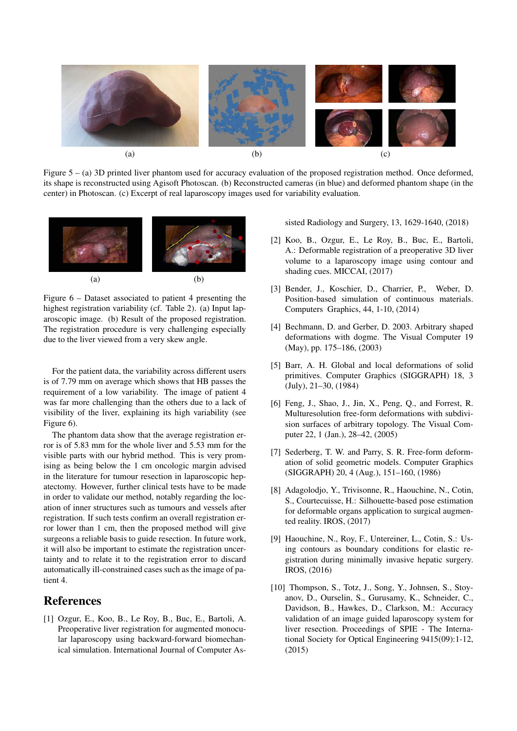

Figure 5 – (a) 3D printed liver phantom used for accuracy evaluation of the proposed registration method. Once deformed, its shape is reconstructed using Agisoft Photoscan. (b) Reconstructed cameras (in blue) and deformed phantom shape (in the center) in Photoscan. (c) Excerpt of real laparoscopy images used for variability evaluation.



Figure 6 – Dataset associated to patient 4 presenting the highest registration variability (cf. Table 2). (a) Input laparoscopic image. (b) Result of the proposed registration. The registration procedure is very challenging especially due to the liver viewed from a very skew angle.

For the patient data, the variability across different users is of 7.79 mm on average which shows that HB passes the requirement of a low variability. The image of patient 4 was far more challenging than the others due to a lack of visibility of the liver, explaining its high variability (see Figure 6).

The phantom data show that the average registration error is of 5.83 mm for the whole liver and 5.53 mm for the visible parts with our hybrid method. This is very promising as being below the 1 cm oncologic margin advised in the literature for tumour resection in laparoscopic hepatectomy. However, further clinical tests have to be made in order to validate our method, notably regarding the location of inner structures such as tumours and vessels after registration. If such tests confirm an overall registration error lower than 1 cm, then the proposed method will give surgeons a reliable basis to guide resection. In future work, it will also be important to estimate the registration uncertainty and to relate it to the registration error to discard automatically ill-constrained cases such as the image of patient 4.

# References

[1] Ozgur, E., Koo, B., Le Roy, B., Buc, E., Bartoli, A. Preoperative liver registration for augmented monocular laparoscopy using backward-forward biomechanical simulation. International Journal of Computer Assisted Radiology and Surgery, 13, 1629-1640, (2018)

- [2] Koo, B., Ozgur, E., Le Roy, B., Buc, E., Bartoli, A.: Deformable registration of a preoperative 3D liver volume to a laparoscopy image using contour and shading cues. MICCAI, (2017)
- [3] Bender, J., Koschier, D., Charrier, P., Weber, D. Position-based simulation of continuous materials. Computers Graphics, 44, 1-10, (2014)
- [4] Bechmann, D. and Gerber, D. 2003. Arbitrary shaped deformations with dogme. The Visual Computer 19 (May), pp. 175–186, (2003)
- [5] Barr, A. H. Global and local deformations of solid primitives. Computer Graphics (SIGGRAPH) 18, 3 (July), 21–30, (1984)
- [6] Feng, J., Shao, J., Jin, X., Peng, Q., and Forrest, R. Multuresolution free-form deformations with subdivision surfaces of arbitrary topology. The Visual Computer 22, 1 (Jan.), 28–42, (2005)
- [7] Sederberg, T. W. and Parry, S. R. Free-form deformation of solid geometric models. Computer Graphics (SIGGRAPH) 20, 4 (Aug.), 151–160, (1986)
- [8] Adagolodjo, Y., Trivisonne, R., Haouchine, N., Cotin, S., Courtecuisse, H.: Silhouette-based pose estimation for deformable organs application to surgical augmented reality. IROS, (2017)
- [9] Haouchine, N., Roy, F., Untereiner, L., Cotin, S.: Using contours as boundary conditions for elastic registration during minimally invasive hepatic surgery. IROS, (2016)
- [10] Thompson, S., Totz, J., Song, Y., Johnsen, S., Stoyanov, D., Ourselin, S., Gurusamy, K., Schneider, C., Davidson, B., Hawkes, D., Clarkson, M.: Accuracy validation of an image guided laparoscopy system for liver resection. Proceedings of SPIE - The International Society for Optical Engineering 9415(09):1-12, (2015)